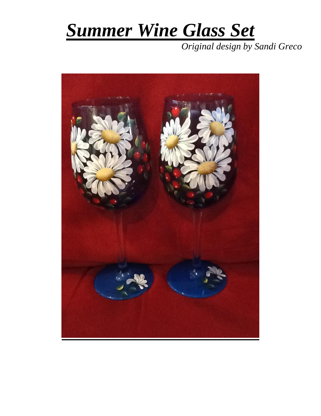## *Summer Wine Glass Set*

*Original design by Sandi Greco*

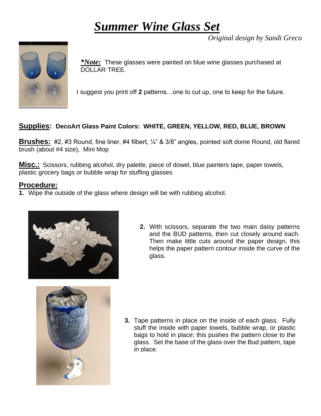## *Summer Wine Glass Set*

*Original design by Sandi Greco*



*\*Note:* These glasses were painted on blue wine glasses purchased at DOLLAR TREE.

I suggest you print off **2** patterns…one to cut up, one to keep for the future.

## **Supplies: DecoArt Glass Paint Colors: WHITE, GREEN, YELLOW, RED, BLUE, BROWN**

**Brushes:** #2, #3 Round, fine liner, #4 filbert, ¼" & 3/8" angles, pointed soft dome Round, old flared brush (about #4 size), Mini Mop

**Misc.:** Scissors, rubbing alcohol, dry palette, piece of dowel, blue painters tape, paper towels, plastic grocery bags or bubble wrap for stuffing glasses

## **Procedure:**

**1.** Wipe the outside of the glass where design will be with rubbing alcohol.



**2.** With scissors, separate the two main daisy patterns and the BUD patterns, then cut closely around each. Then make little cuts around the paper design, this helps the paper pattern contour inside the curve of the glass.



**3.** Tape patterns in place on the inside of each glass. Fully stuff the inside with paper towels, bubble wrap, or plastic bags to hold in place; this pushes the pattern close to the glass. Set the base of the glass over the Bud pattern, tape in place.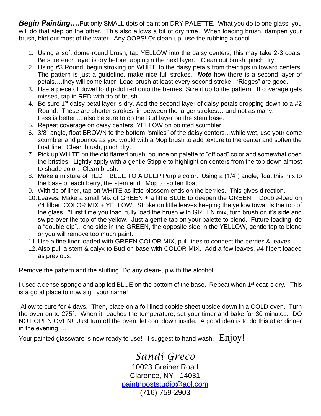**Begin Painting....**Put only SMALL dots of paint on DRY PALETTE. What you do to one glass, you will do that step on the other. This also allows a bit of dry time. When loading brush, dampen your brush, blot out most of the water. Any OOPS! Or clean-up, use the rubbing alcohol.

- 1. Using a soft dome round brush, tap YELLOW into the daisy centers, this may take 2-3 coats. Be sure each layer is dry before tapping n the next layer. Clean out brush, pinch dry.
- 2. Using #3 Round, begin stroking on WHITE to the daisy petals from their tips in toward centers. The pattern is just a guideline, make nice full strokes. *Note* how there is a second layer of petals….they will come later. Load brush at least every second stroke. "Ridges" are good.
- 3. Use a piece of dowel to dip-dot red onto the berries. Size it up to the pattern. If coverage gets missed, tap in RED with tip of brush.
- 4. Be sure 1<sup>st</sup> daisy petal layer is dry. Add the second layer of daisy petals dropping down to a #2 Round. These are shorter strokes, in between the larger strokes… and not as many. Less is better!....also be sure to do the Bud layer on the stem base.
- 5. Repeat coverage on daisy centers, YELLOW on pointed scumbler.
- 6. 3/8" angle, float BROWN to the bottom "smiles" of the daisy centers…while wet, use your dome scumbler and pounce as you would with a Mop brush to add texture to the center and soften the float line. Clean brush, pinch dry.
- 7. Pick up WHITE on the old flarred brush, pounce on palette to "offload" color and somewhat open the bristles. Lightly apply with a gentle Stipple to highlight on centers from the top down almost to shade color. Clean brush.
- 8. Make a mixture of RED + BLUE TO A DEEP Purple color. Using a (1/4") angle, float this mix to the base of each berry, the stem end. Mop to soften float.
- 9. With tip of liner, tap on WHITE as little blossom ends on the berries. This gives direction.
- 10.Leaves: Make a small Mix of GREEN + a little BLUE to deepen the GREEN. Double-load on #4 filbert COLOR MIX + YELLOW. Stroke on little leaves keeping the yellow towards the top of the glass. \*First time you load, fully load the brush with GREEN mix, turn brush on it's side and swipe over the top of the yellow. Just a gentle tap on your palette to blend. Future loading, do a "double-dip"…one side in the GREEN, the opposite side in the YELLOW, gentle tap to blend or you will remove too much paint.
- 11.Use a fine liner loaded with GREEN COLOR MIX, pull lines to connect the berries & leaves.
- 12.Also pull a stem & calyx to Bud on base with COLOR MIX. Add a few leaves, #4 filbert loaded as previous.

Remove the pattern and the stuffing. Do any clean-up with the alcohol.

I used a dense sponge and applied BLUE on the bottom of the base. Repeat when 1<sup>st</sup> coat is dry. This is a good place to now sign your name!

Allow to cure for 4 days. Then, place on a foil lined cookie sheet upside down in a COLD oven. Turn the oven on to 275°. When it reaches the temperature, set your timer and bake for 30 minutes. DO NOT OPEN OVEN! Just turn off the oven, let cool down inside. A good idea is to do this after dinner in the evening….

Your painted glassware is now ready to use! I suggest to hand wash.  $Enjoy!$ 

*Sandi Greco* 10023 Greiner Road Clarence, NY 14031 [paintnpoststudio@aol.com](mailto:paintnpoststudio@aol.com) (716) 759-2903